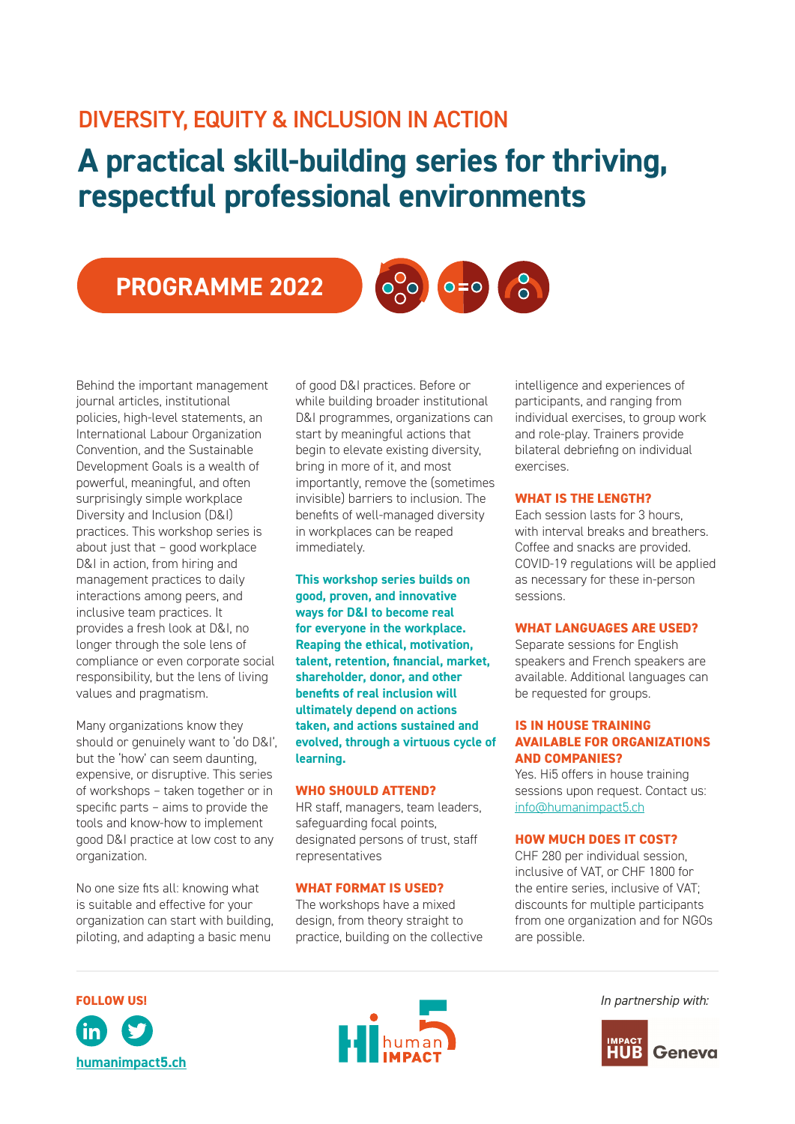# DIVERSITY, EQUITY & INCLUSION IN ACTION

# **A practical skill-building series for thriving, respectful professional environments**

PROGRAMME 2022



Many organizations know they should or genuinely want to 'do D&I', but the 'how' can seem daunting, expensive, or disruptive. This series of workshops – taken together or in specific parts – aims to provide the tools and know-how to implement good D&I practice at low cost to any organization.

No one size fits all: knowing what is suitable and effective for your organization can start with building, piloting, and adapting a basic menu

of good D&I practices. Before or while building broader institutional D&I programmes, organizations can start by meaningful actions that begin to elevate existing diversity, bring in more of it, and most importantly, remove the (sometimes invisible) barriers to inclusion. The benefits of well-managed diversity in workplaces can be reaped immediately.

 $\frac{1}{200}$ 

**This workshop series builds on good, proven, and innovative ways for D&I to become real for everyone in the workplace. Reaping the ethical, motivation, talent, retention, financial, market, shareholder, donor, and other benefits of real inclusion will ultimately depend on actions taken, and actions sustained and evolved, through a virtuous cycle of learning.** 

#### **WHO SHOULD ATTEND?**

HR staff, managers, team leaders, safeguarding focal points, designated persons of trust, staff representatives

#### **WHAT FORMAT IS USED?**

The workshops have a mixed design, from theory straight to practice, building on the collective

intelligence and experiences of participants, and ranging from individual exercises, to group work and role-play. Trainers provide bilateral debriefing on individual exercises.

#### **WHAT IS THE LENGTH?**

 $\overline{O}$ 

 $O = O$ 

Each session lasts for 3 hours, with interval breaks and breathers. Coffee and snacks are provided. COVID-19 regulations will be applied as necessary for these in-person sessions.

#### **WHAT LANGUAGES ARE USED?**

Separate sessions for English speakers and French speakers are available. Additional languages can be requested for groups.

### **IS IN HOUSE TRAINING AVAILABLE FOR ORGANIZATIONS AND COMPANIES?**

Yes. Hi5 offers in house training sessions upon request. Contact us: [info@humanimpact5.ch](mailto:info%40humanimpact5.ch?subject=Training%20information)

#### **HOW MUCH DOES IT COST?**

CHF 280 per individual session, inclusive of VAT, or CHF 1800 for the entire series, inclusive of VAT; discounts for multiple participants from one organization and for NGOs are possible.





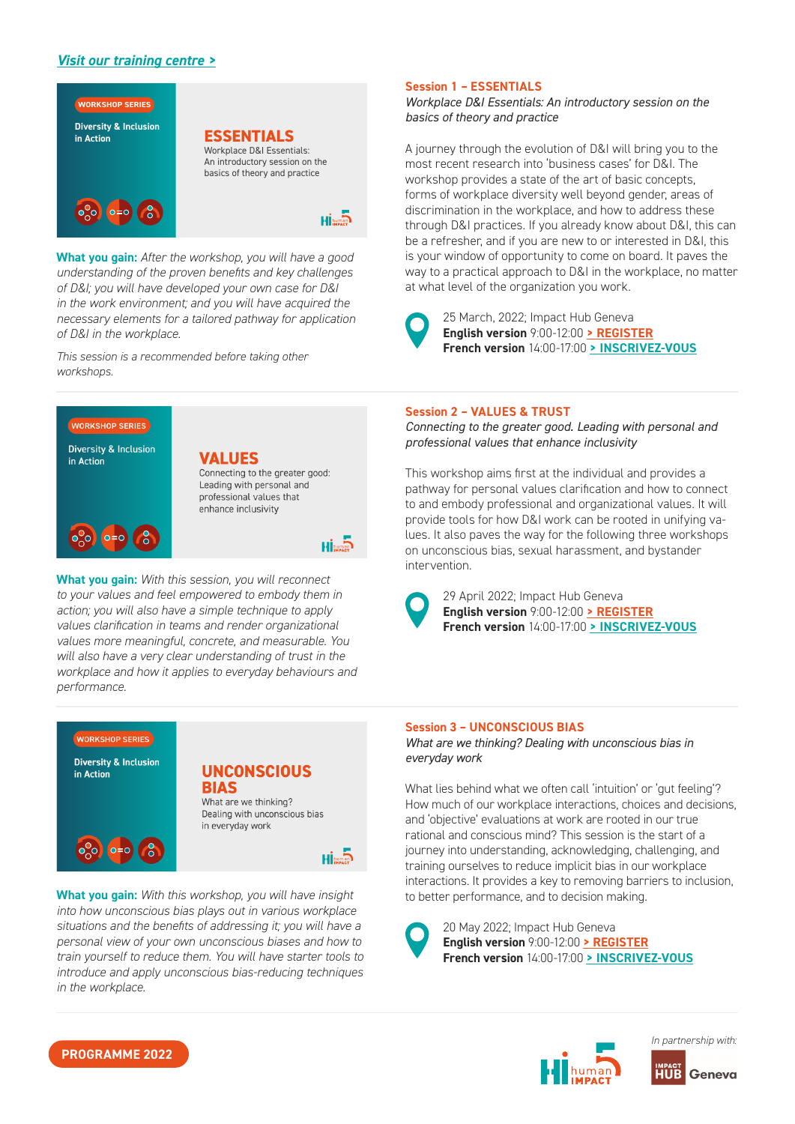# *[Visit our training centre >](https://humanimpact5.ch/training-formation/)*



**What you gain:** *After the workshop, you will have a good understanding of the proven benefits and key challenges of D&I; you will have developed your own case for D&I in the work environment; and you will have acquired the necessary elements for a tailored pathway for application of D&I in the workplace.*

*This session is a recommended before taking other workshops.*



**What you gain:** *With this session, you will reconnect to your values and feel empowered to embody them in action; you will also have a simple technique to apply values clarification in teams and render organizational values more meaningful, concrete, and measurable. You will also have a very clear understanding of trust in the workplace and how it applies to everyday behaviours and performance.*



**What you gain:** With this workshop, you will have insight *into how unconscious bias plays out in various workplace situations and the benefits of addressing it; you will have a personal view of your own unconscious biases and how to train yourself to reduce them. You will have starter tools to introduce and apply unconscious bias-reducing techniques in the workplace.*

#### **Session 1 – ESSENTIALS**

*Workplace D&I Essentials: An introductory session on the basics of theory and practice*

A journey through the evolution of D&I will bring you to the most recent research into 'business cases' for D&I. The workshop provides a state of the art of basic concepts, forms of workplace diversity well beyond gender, areas of discrimination in the workplace, and how to address these through D&I practices. If you already know about D&I, this can be a refresher, and if you are new to or interested in D&I, this is your window of opportunity to come on board. It paves the way to a practical approach to D&I in the workplace, no matter at what level of the organization you work.

25 March, 2022; Impact Hub Geneva **English version** 9:00-12:00 **[> REGISTER](https://humanimpact5.ch/product/session-1-essentials-diversity-inclusion/) French version** 14:00-17:00 **[> INSCRIVEZ-VOUS](https://humanimpact5.ch/product/centre-de-formation-atelier-1-lessentiel/)**

#### **Session 2 – VALUES & TRUST**

*Connecting to the greater good. Leading with personal and professional values that enhance inclusivity*

This workshop aims first at the individual and provides a pathway for personal values clarification and how to connect to and embody professional and organizational values. It will provide tools for how D&I work can be rooted in unifying values. It also paves the way for the following three workshops on unconscious bias, sexual harassment, and bystander intervention.



**Hi**human

29 April 2022; Impact Hub Geneva **English version** 9:00-12:00 **[> REGISTER](https://humanimpact5.ch/product/session-2-values-trust/) French version** 14:00-17:00 **[> INSCRIVEZ-VOUS](https://humanimpact5.ch/product/atelier-2-les-valeurs/)**

#### **Session 3 – UNCONSCIOUS BIAS**

*What are we thinking? Dealing with unconscious bias in everyday work*

What lies behind what we often call 'intuition' or 'gut feeling'? How much of our workplace interactions, choices and decisions, and 'objective' evaluations at work are rooted in our true rational and conscious mind? This session is the start of a journey into understanding, acknowledging, challenging, and training ourselves to reduce implicit bias in our workplace interactions. It provides a key to removing barriers to inclusion, to better performance, and to decision making.

20 May 2022; Impact Hub Geneva **English version** 9:00-12:00 **[> REGISTER](https://humanimpact5.ch/product/session-3-unconscious-bias/) French version** 14:00-17:00 **[> INSCRIVEZ-VOUS](https://humanimpact5.ch/product/atelier-3-les-prejuges-inconscients-travail/)**





**PROGRAMME 2022**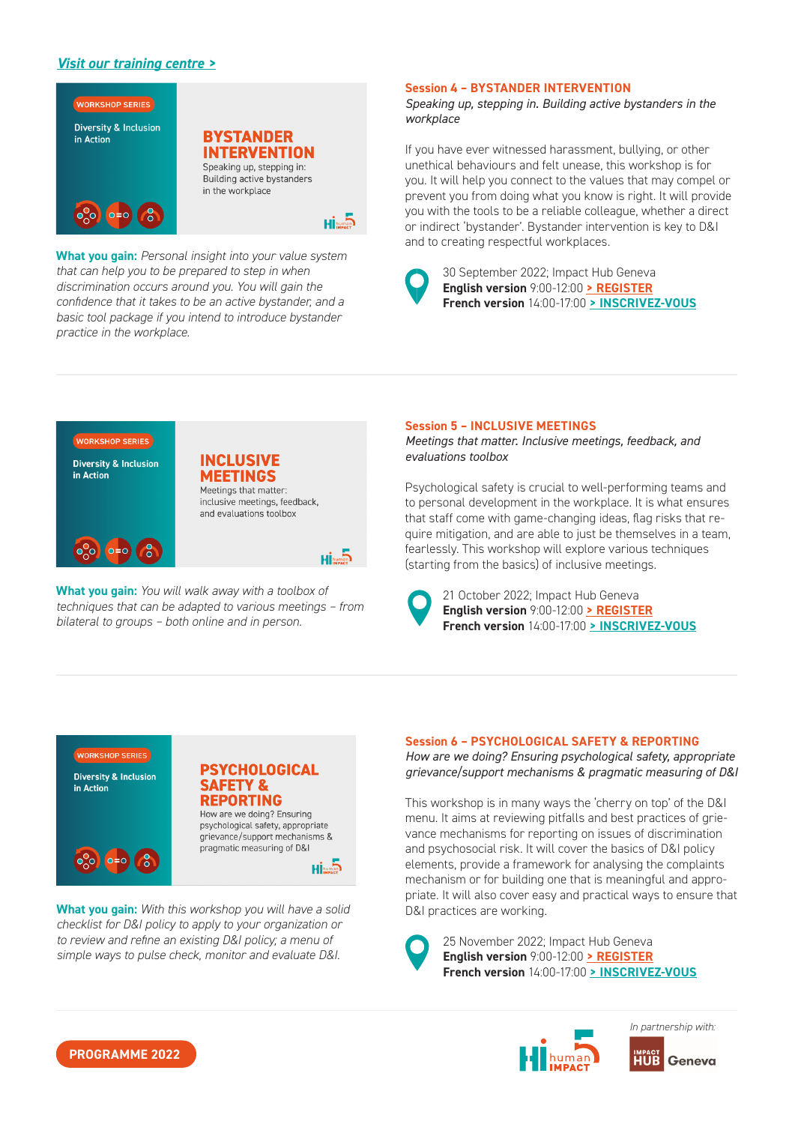# *[Visit our training centre >](https://humanimpact5.ch/training-formation/)*



**What you gain:** *Personal insight into your value system that can help you to be prepared to step in when discrimination occurs around you. You will gain the confidence that it takes to be an active bystander, and a basic tool package if you intend to introduce bystander practice in the workplace.*

#### **Session 4 – BYSTANDER INTERVENTION**

*Speaking up, stepping in. Building active bystanders in the workplace*

If you have ever witnessed harassment, bullying, or other unethical behaviours and felt unease, this workshop is for you. It will help you connect to the values that may compel or prevent you from doing what you know is right. It will provide you with the tools to be a reliable colleague, whether a direct or indirect 'bystander'. Bystander intervention is key to D&I and to creating respectful workplaces.



30 September 2022; Impact Hub Geneva **English version** 9:00-12:00 **[> REGISTER](https://humanimpact5.ch/product/session-5-bystander-intervention/) French version** 14:00-17:00 **[> INSCRIVEZ-VOUS](https://humanimpact5.ch/product/atelier-5-intervention-des-temoins/)**

# **WORKSHOP SERIES**

| <b>Diversity &amp; Inclusion</b><br>in Action |         |  |
|-----------------------------------------------|---------|--|
|                                               |         |  |
|                                               | $o = o$ |  |

**INCLUSIVE MEETINGS** Meetings that matter: inclusive meetings, feedback, and evaluations toolbox



**What you gain:** *You will walk away with a toolbox of toolbox of techniques that can be adapted to various meetings – from bilateral to groups – both online and in person.* 

#### **Session 5 – INCLUSIVE MEETINGS**

*Meetings that matter. Inclusive meetings, feedback, and evaluations toolbox* 

Psychological safety is crucial to well-performing teams and to personal development in the workplace. It is what ensures that staff come with game-changing ideas, flag risks that require mitigation, and are able to just be themselves in a team, fearlessly. This workshop will explore various techniques (starting from the basics) of inclusive meetings.



21 October 2022; Impact Hub Geneva **English version** 9:00-12:00 **[> REGISTER](https://humanimpact5.ch/product/session-6-inclusive-meetings/) French version** 14:00-17:00 **[> INSCRIVEZ-VOUS](https://humanimpact5.ch/product/atelier-6-reunions-inclusives/)**



**What you gain:** With this workshop you will have a solid *checklist for D&I policy to apply to your organization or to review and refine an existing D&I policy; a menu of simple ways to pulse check, monitor and evaluate D&I.*

**Session 6 – PSYCHOLOGICAL SAFETY & REPORTING** *How are we doing? Ensuring psychological safety, appropriate grievance/support mechanisms & pragmatic measuring of D&I*

This workshop is in many ways the 'cherry on top' of the D&I menu. It aims at reviewing pitfalls and best practices of grievance mechanisms for reporting on issues of discrimination and psychosocial risk. It will cover the basics of D&I policy elements, provide a framework for analysing the complaints mechanism or for building one that is meaningful and appropriate. It will also cover easy and practical ways to ensure that D&I practices are working.

25 November 2022; Impact Hub Geneva **English version** 9:00-12:00 **[> REGISTER](https://humanimpact5.ch/product/session-7-psychological-safety-reporting/) French version** 14:00-17:00 **[> INSCRIVEZ-VOUS](https://humanimpact5.ch/product/atelier-7-securite-psychologique-et-dispositifs-de-plainte-et-de-soutien/)**



**PROGRAMME 2022**